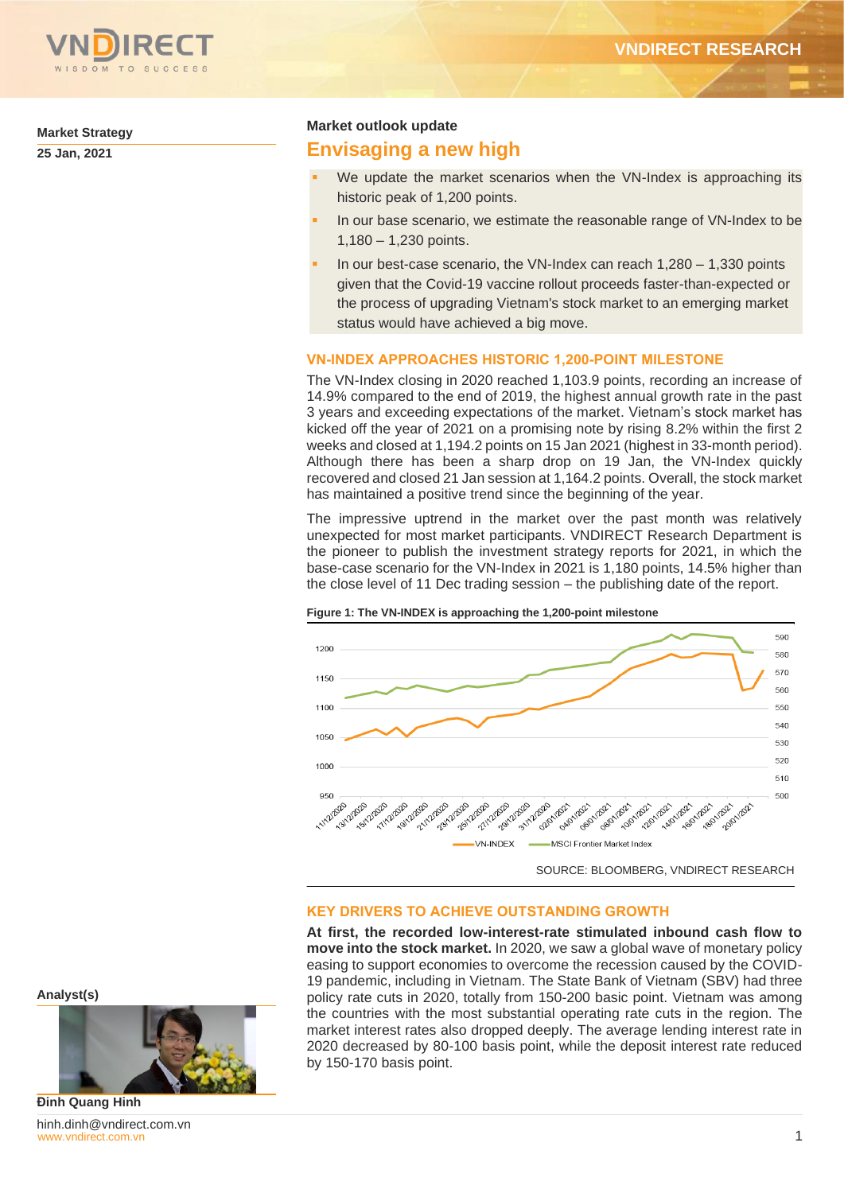

**Market Strategy**

**25 Jan, 2021** 

### **Market outlook update**

# **Envisaging a new high**

- We update the market scenarios when the VN-Index is approaching its historic peak of 1,200 points.
- In our base scenario, we estimate the reasonable range of VN-Index to be 1,180 – 1,230 points.
- In our best-case scenario, the VN-Index can reach  $1,280 1,330$  points given that the Covid-19 vaccine rollout proceeds faster-than-expected or the process of upgrading Vietnam's stock market to an emerging market status would have achieved a big move.

## **VN-INDEX APPROACHES HISTORIC 1,200-POINT MILESTONE**

The VN-Index closing in 2020 reached 1,103.9 points, recording an increase of 14.9% compared to the end of 2019, the highest annual growth rate in the past 3 years and exceeding expectations of the market. Vietnam's stock market has kicked off the year of 2021 on a promising note by rising 8.2% within the first 2 weeks and closed at 1,194.2 points on 15 Jan 2021 (highest in 33-month period). Although there has been a sharp drop on 19 Jan, the VN-Index quickly recovered and closed 21 Jan session at 1,164.2 points. Overall, the stock market has maintained a positive trend since the beginning of the year.

The impressive uptrend in the market over the past month was relatively unexpected for most market participants. VNDIRECT Research Department is the pioneer to publish the investment strategy reports for 2021, in which the base-case scenario for the VN-Index in 2021 is 1,180 points, 14.5% higher than the close level of 11 Dec trading session – the publishing date of the report.



#### **Figure 1: The VN-INDEX is approaching the 1,200-point milestone**

SOURCE: BLOOMBERG, VNDIRECT RESEARCH

## **KEY DRIVERS TO ACHIEVE OUTSTANDING GROWTH**

**At first, the recorded low-interest-rate stimulated inbound cash flow to move into the stock market.** In 2020, we saw a global wave of monetary policy easing to support economies to overcome the recession caused by the COVID-19 pandemic, including in Vietnam. The State Bank of Vietnam (SBV) had three policy rate cuts in 2020, totally from 150-200 basic point. Vietnam was among the countries with the most substantial operating rate cuts in the region. The market interest rates also dropped deeply. The average lending interest rate in 2020 decreased by 80-100 basis point, while the deposit interest rate reduced by 150-170 basis point.

**Analyst(s)**



[www.vndirect.com.vn](file:///C:/Users/hinh.dinh/AppData/Roaming/Microsoft/Word/www.vndirect.com.vn) 1 hinh.dinh@vndirect.com.vn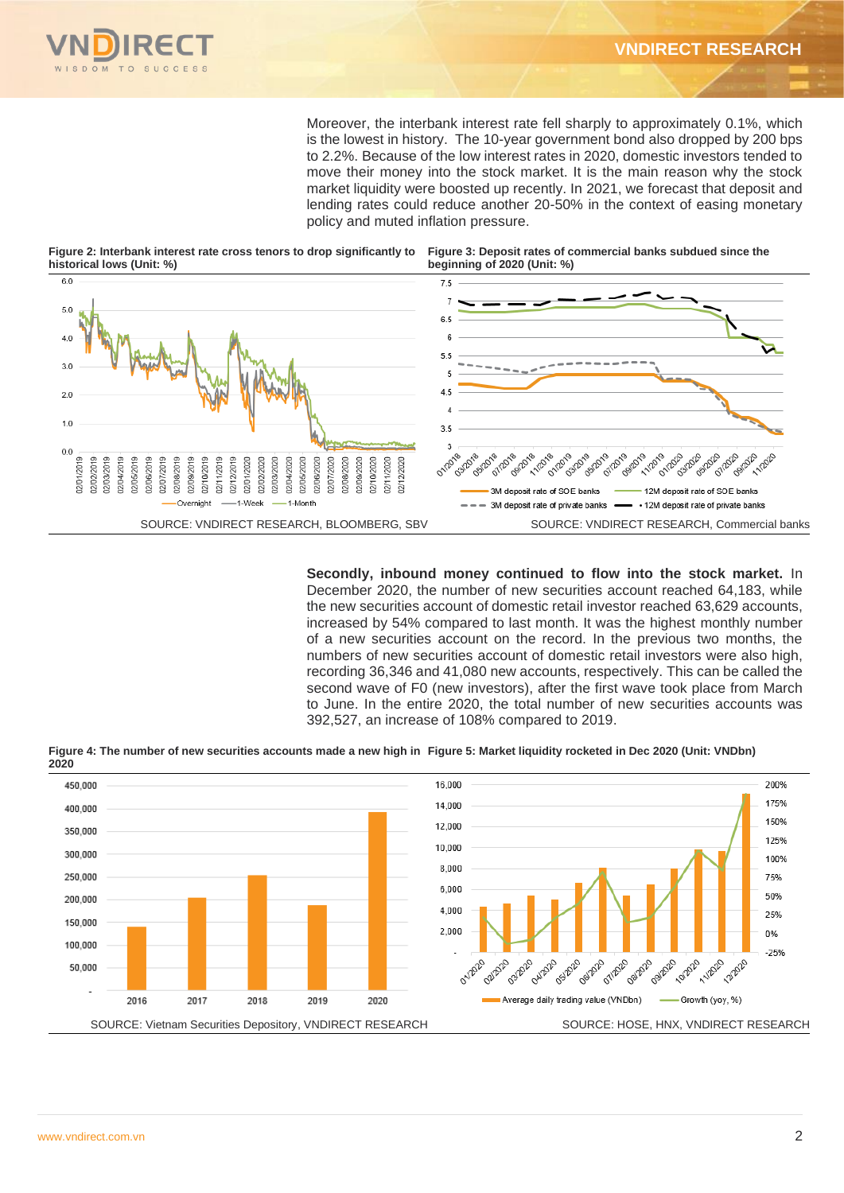

Moreover, the interbank interest rate fell sharply to approximately 0.1%, which is the lowest in history. The 10-year government bond also dropped by 200 bps to 2.2%. Because of the low interest rates in 2020, domestic investors tended to move their money into the stock market. It is the main reason why the stock market liquidity were boosted up recently. In 2021, we forecast that deposit and lending rates could reduce another 20-50% in the context of easing monetary policy and muted inflation pressure.

**Figure 2: Interbank interest rate cross tenors to drop significantly to historical lows (Unit: %)**

**Figure 3: Deposit rates of commercial banks subdued since the beginning of 2020 (Unit: %)** 



**Secondly, inbound money continued to flow into the stock market.** In December 2020, the number of new securities account reached 64,183, while the new securities account of domestic retail investor reached 63,629 accounts, increased by 54% compared to last month. It was the highest monthly number of a new securities account on the record. In the previous two months, the numbers of new securities account of domestic retail investors were also high, recording 36,346 and 41,080 new accounts, respectively. This can be called the second wave of F0 (new investors), after the first wave took place from March to June. In the entire 2020, the total number of new securities accounts was 392,527, an increase of 108% compared to 2019.

**Figure 4: The number of new securities accounts made a new high in Figure 5: Market liquidity rocketed in Dec 2020 (Unit: VNDbn) 2020** 

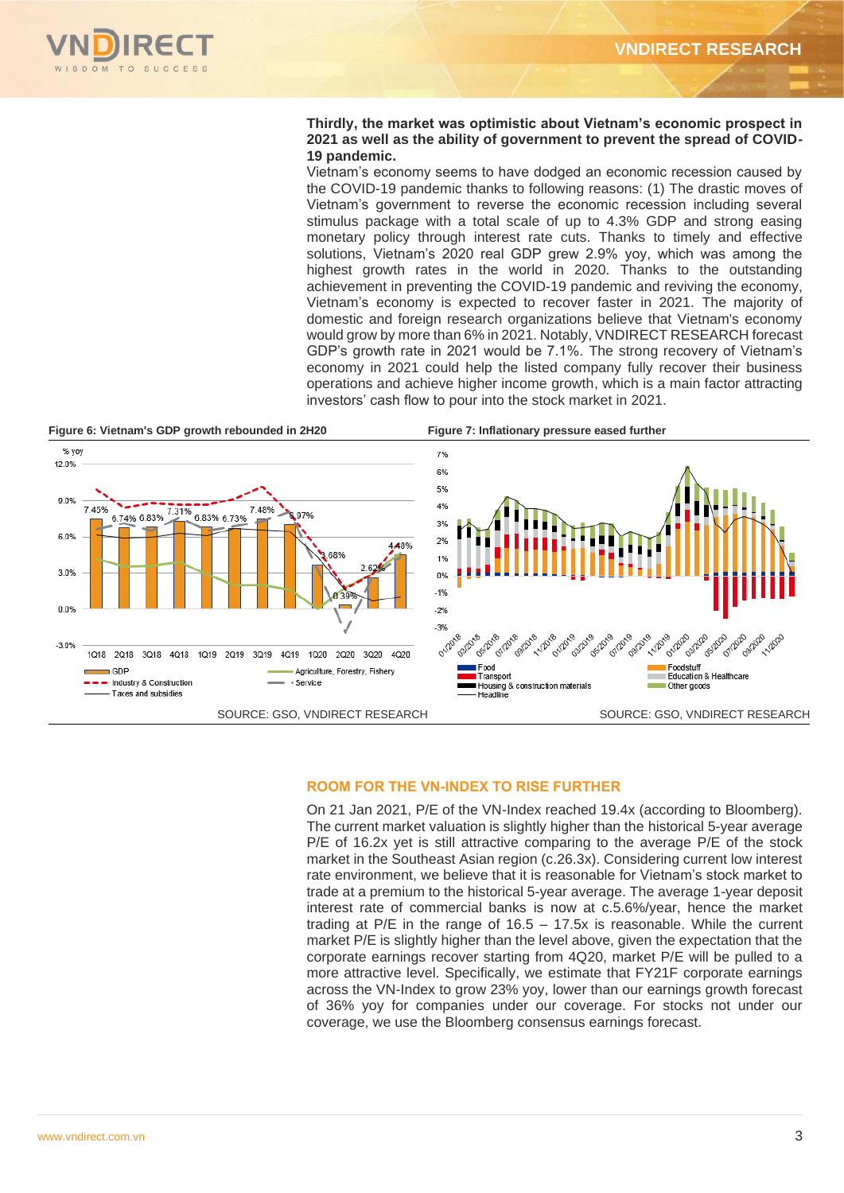

### **Thirdly, the market was optimistic about Vietnam's economic prospect in 2021 as well as the ability of government to prevent the spread of COVID-19 pandemic.**

Vietnam's economy seems to have dodged an economic recession caused by the COVID-19 pandemic thanks to following reasons: (1) The drastic moves of Vietnam's government to reverse the economic recession including several stimulus package with a total scale of up to 4.3% GDP and strong easing monetary policy through interest rate cuts. Thanks to timely and effective solutions, Vietnam's 2020 real GDP grew 2.9% yoy, which was among the highest growth rates in the world in 2020. Thanks to the outstanding achievement in preventing the COVID-19 pandemic and reviving the economy, Vietnam's economy is expected to recover faster in 2021. The majority of domestic and foreign research organizations believe that Vietnam's economy would grow by more than 6% in 2021. Notably, VNDIRECT RESEARCH forecast GDP's growth rate in 2021 would be 7.1%. The strong recovery of Vietnam's economy in 2021 could help the listed company fully recover their business operations and achieve higher income growth, which is a main factor attracting investors' cash flow to pour into the stock market in 2021.



### **ROOM FOR THE VN-INDEX TO RISE FURTHER**

On 21 Jan 2021, P/E of the VN-Index reached 19.4x (according to Bloomberg). The current market valuation is slightly higher than the historical 5-year average P/E of 16.2x yet is still attractive comparing to the average P/E of the stock market in the Southeast Asian region (c.26.3x). Considering current low interest rate environment, we believe that it is reasonable for Vietnam's stock market to trade at a premium to the historical 5-year average. The average 1-year deposit interest rate of commercial banks is now at c.5.6%/year, hence the market trading at P/E in the range of 16.5 – 17.5x is reasonable. While the current market P/E is slightly higher than the level above, given the expectation that the corporate earnings recover starting from 4Q20, market P/E will be pulled to a more attractive level. Specifically, we estimate that FY21F corporate earnings across the VN-Index to grow 23% yoy, lower than our earnings growth forecast of 36% yoy for companies under our coverage. For stocks not under our coverage, we use the Bloomberg consensus earnings forecast.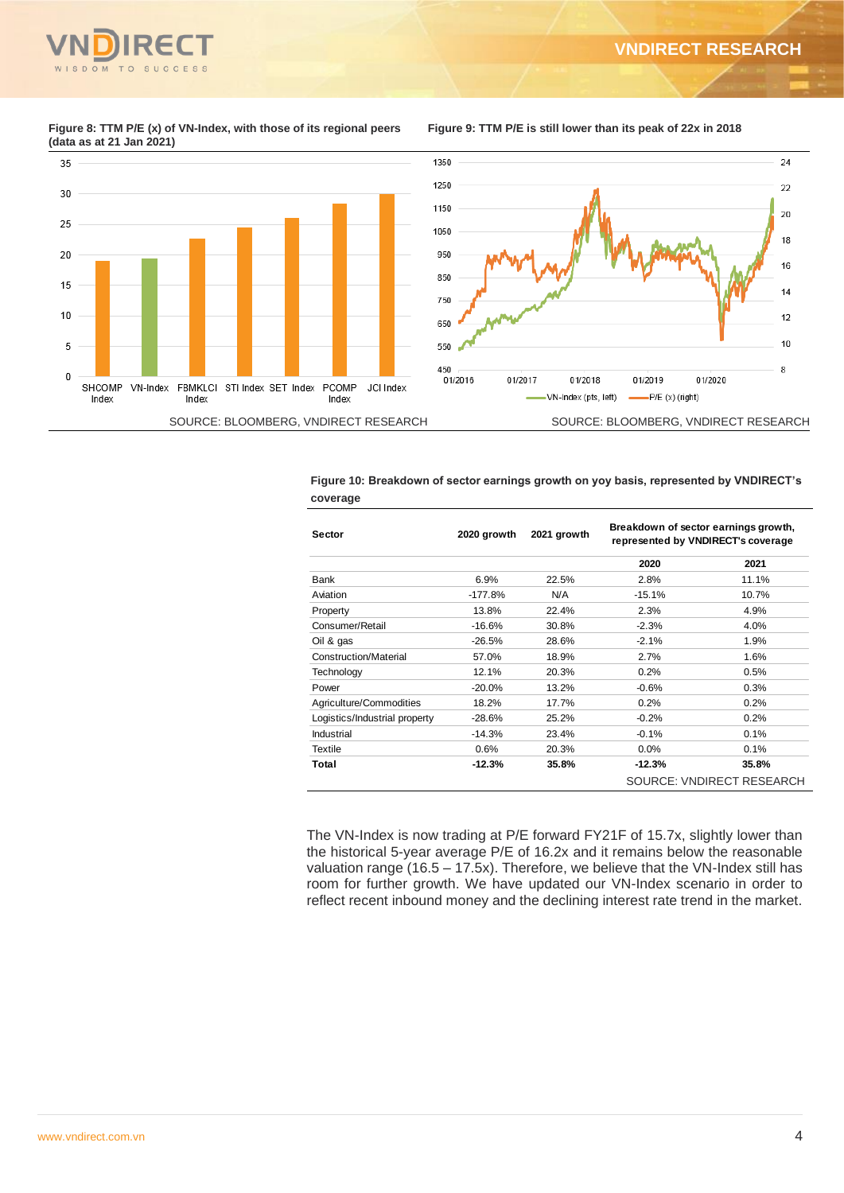

35

30

25

 $20$ 

15

 $10$ 

5

 $\mathbf 0$ 

Index

**Figure 8: TTM P/E (x) of VN-Index, with those of its regional peers (data as at 21 Jan 2021)** 

SHCOMP VN-Index FBMKLCI STI Index SET Index PCOMP

Index

Index



**Figure 10: Breakdown of sector earnings growth on yoy basis, represented by VNDIRECT's coverage**

| <b>Sector</b>                 | 2020 growth | 2021 growth | Breakdown of sector earnings growth,<br>represented by VNDIRECT's coverage |                           |
|-------------------------------|-------------|-------------|----------------------------------------------------------------------------|---------------------------|
|                               |             |             | 2020                                                                       | 2021                      |
| <b>Bank</b>                   | 6.9%        | 22.5%       | 2.8%                                                                       | 11.1%                     |
| Aviation                      | $-177.8%$   | N/A         | $-15.1%$                                                                   | 10.7%                     |
| Property                      | 13.8%       | 22.4%       | 2.3%                                                                       | 4.9%                      |
| Consumer/Retail               | $-16.6%$    | 30.8%       | $-2.3%$                                                                    | 4.0%                      |
| Oil & gas                     | $-26.5%$    | 28.6%       | $-2.1%$                                                                    | 1.9%                      |
| Construction/Material         | 57.0%       | 18.9%       | 2.7%                                                                       | 1.6%                      |
| Technology                    | 12.1%       | 20.3%       | 0.2%                                                                       | 0.5%                      |
| Power                         | $-20.0%$    | 13.2%       | $-0.6%$                                                                    | 0.3%                      |
| Agriculture/Commodities       | 18.2%       | 17.7%       | 0.2%                                                                       | 0.2%                      |
| Logistics/Industrial property | $-28.6%$    | 25.2%       | $-0.2%$                                                                    | 0.2%                      |
| Industrial                    | $-14.3%$    | 23.4%       | $-0.1%$                                                                    | 0.1%                      |
| <b>Textile</b>                | 0.6%        | 20.3%       | 0.0%                                                                       | 0.1%                      |
| Total                         | $-12.3%$    | 35.8%       | $-12.3%$                                                                   | 35.8%                     |
|                               |             |             |                                                                            | SOURCE: VNDIRECT RESEARCH |

The VN-Index is now trading at P/E forward FY21F of 15.7x, slightly lower than the historical 5-year average P/E of 16.2x and it remains below the reasonable valuation range (16.5 – 17.5x). Therefore, we believe that the VN-Index still has room for further growth. We have updated our VN-Index scenario in order to reflect recent inbound money and the declining interest rate trend in the market.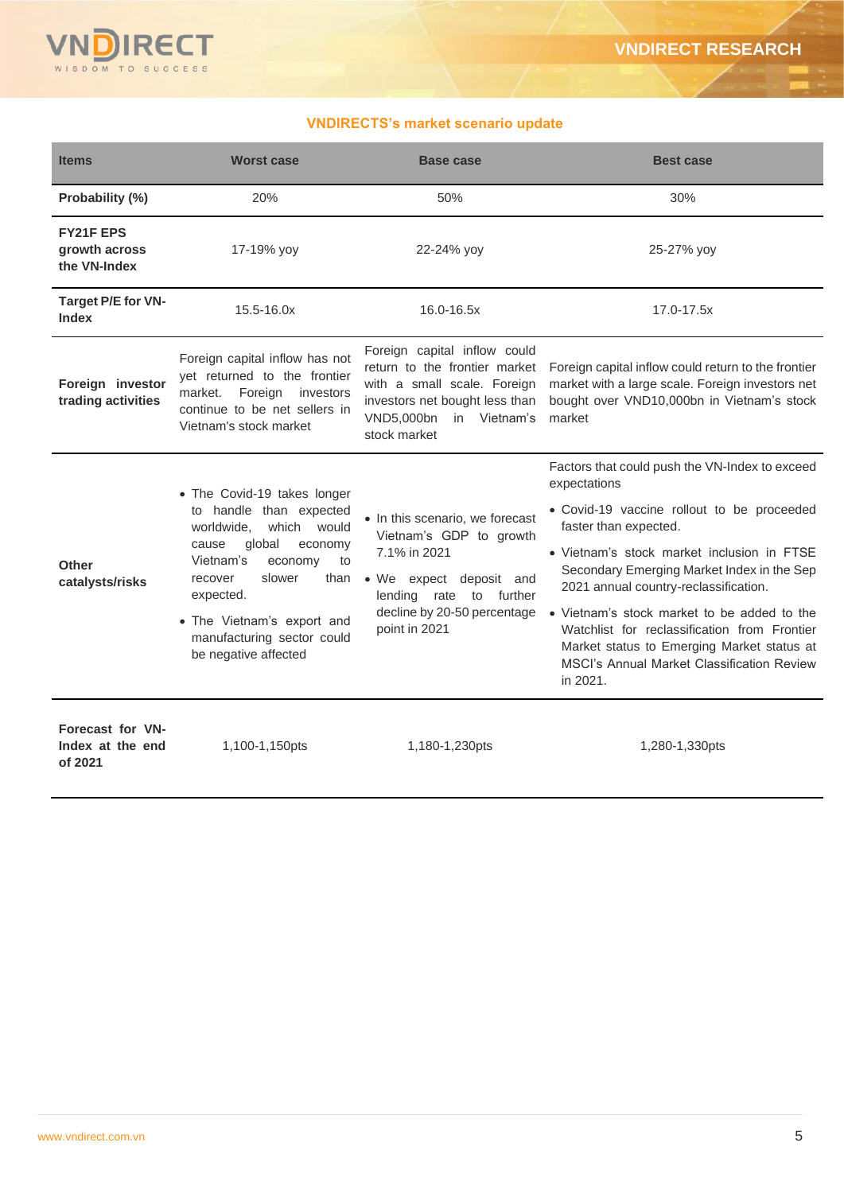

# **VNDIRECTS's market scenario update**

| <b>Items</b>                                      | <b>Worst case</b>                                                                                                                                                                                                                                                             | <b>Base case</b>                                                                                                                                                                       | <b>Best case</b>                                                                                                                                                                                                                                                                                                                                                                                                                                                                         |
|---------------------------------------------------|-------------------------------------------------------------------------------------------------------------------------------------------------------------------------------------------------------------------------------------------------------------------------------|----------------------------------------------------------------------------------------------------------------------------------------------------------------------------------------|------------------------------------------------------------------------------------------------------------------------------------------------------------------------------------------------------------------------------------------------------------------------------------------------------------------------------------------------------------------------------------------------------------------------------------------------------------------------------------------|
| Probability (%)                                   | 20%                                                                                                                                                                                                                                                                           | 50%                                                                                                                                                                                    | 30%                                                                                                                                                                                                                                                                                                                                                                                                                                                                                      |
| <b>FY21F EPS</b><br>growth across<br>the VN-Index | 17-19% yoy                                                                                                                                                                                                                                                                    | 22-24% yoy                                                                                                                                                                             | 25-27% yoy                                                                                                                                                                                                                                                                                                                                                                                                                                                                               |
| Target P/E for VN-<br><b>Index</b>                | 15.5-16.0x                                                                                                                                                                                                                                                                    | 16.0-16.5x                                                                                                                                                                             | 17.0-17.5x                                                                                                                                                                                                                                                                                                                                                                                                                                                                               |
| Foreign investor<br>trading activities            | Foreign capital inflow has not<br>yet returned to the frontier<br>market. Foreign<br>investors<br>continue to be net sellers in<br>Vietnam's stock market                                                                                                                     | Foreign capital inflow could<br>return to the frontier market<br>with a small scale. Foreign<br>investors net bought less than<br>VND5,000bn in Vietnam's<br>stock market              | Foreign capital inflow could return to the frontier<br>market with a large scale. Foreign investors net<br>bought over VND10,000bn in Vietnam's stock<br>market                                                                                                                                                                                                                                                                                                                          |
| Other<br>catalysts/risks                          | • The Covid-19 takes longer<br>to handle than expected<br>worldwide.<br>which would<br>global<br>cause<br>economy<br>Vietnam's<br>economy<br>to<br>slower<br>than<br>recover<br>expected.<br>• The Vietnam's export and<br>manufacturing sector could<br>be negative affected | • In this scenario, we forecast<br>Vietnam's GDP to growth<br>7.1% in 2021<br>• We expect deposit and<br>rate<br>lending<br>to further<br>decline by 20-50 percentage<br>point in 2021 | Factors that could push the VN-Index to exceed<br>expectations<br>• Covid-19 vaccine rollout to be proceeded<br>faster than expected.<br>• Vietnam's stock market inclusion in FTSE<br>Secondary Emerging Market Index in the Sep<br>2021 annual country-reclassification.<br>• Vietnam's stock market to be added to the<br>Watchlist for reclassification from Frontier<br>Market status to Emerging Market status at<br><b>MSCI's Annual Market Classification Review</b><br>in 2021. |
| Forecast for VN-<br>Index at the end<br>of 2021   | 1,100-1,150pts                                                                                                                                                                                                                                                                | 1,180-1,230pts                                                                                                                                                                         | 1,280-1,330pts                                                                                                                                                                                                                                                                                                                                                                                                                                                                           |